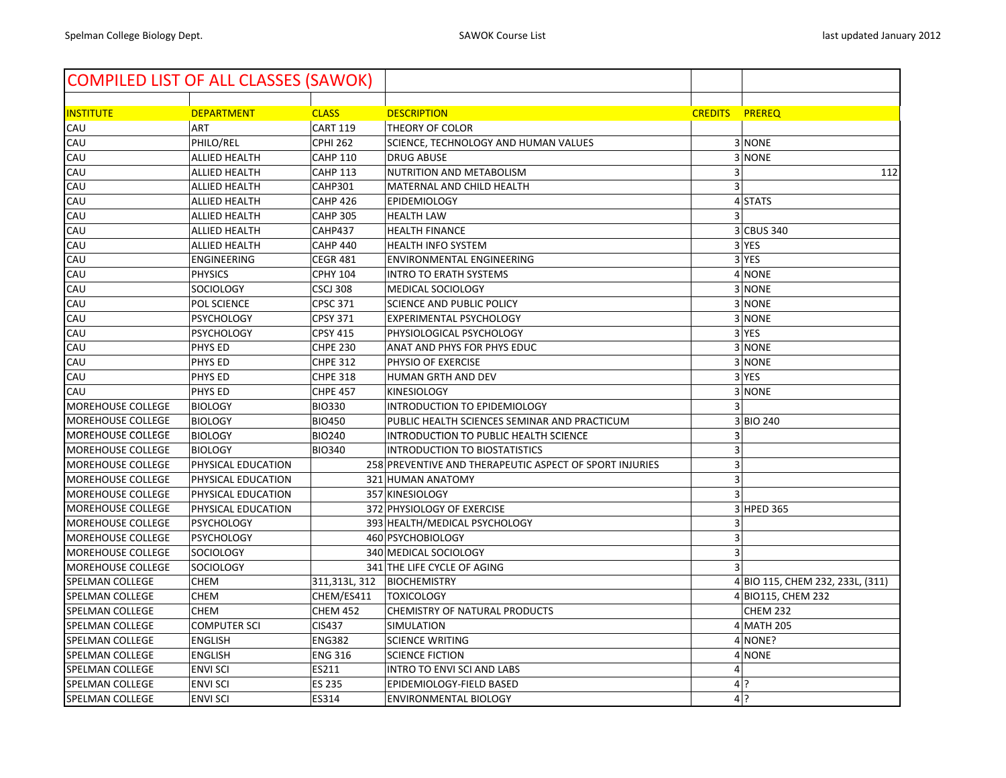| <b>COMPILED LIST OF ALL CLASSES (SAWOK)</b> |                      |                 |                                                         |                |                                  |
|---------------------------------------------|----------------------|-----------------|---------------------------------------------------------|----------------|----------------------------------|
| <b>INSTITUTE</b>                            | <b>DEPARTMENT</b>    | <b>CLASS</b>    | <b>DESCRIPTION</b>                                      | <b>CREDITS</b> | <b>PREREQ</b>                    |
| CAU                                         | <b>ART</b>           | <b>CART 119</b> | THEORY OF COLOR                                         |                |                                  |
| CAU                                         | PHILO/REL            | <b>CPHI 262</b> | SCIENCE, TECHNOLOGY AND HUMAN VALUES                    |                | 3 NONE                           |
| CAU                                         | ALLIED HEALTH        | <b>CAHP 110</b> | <b>DRUG ABUSE</b>                                       |                | 3 NONE                           |
| CAU                                         | ALLIED HEALTH        | <b>CAHP 113</b> | NUTRITION AND METABOLISM                                | 3              | 112                              |
| CAU                                         | ALLIED HEALTH        | CAHP301         | MATERNAL AND CHILD HEALTH                               | 3              |                                  |
| CAU                                         | ALLIED HEALTH        | <b>CAHP 426</b> | <b>EPIDEMIOLOGY</b>                                     |                | 4 STATS                          |
| CAU                                         | ALLIED HEALTH        | <b>CAHP 305</b> | <b>HEALTH LAW</b>                                       |                |                                  |
| CAU                                         | ALLIED HEALTH        | CAHP437         | <b>HEALTH FINANCE</b>                                   |                | 3 CBUS 340                       |
| CAU                                         | <b>ALLIED HEALTH</b> | <b>CAHP 440</b> | HEALTH INFO SYSTEM                                      |                | 3 YES                            |
| CAU                                         | ENGINEERING          | <b>CEGR 481</b> | <b>ENVIRONMENTAL ENGINEERING</b>                        |                | 3 YES                            |
| CAU                                         | <b>PHYSICS</b>       | <b>CPHY 104</b> | <b>INTRO TO ERATH SYSTEMS</b>                           |                | 4 NONE                           |
| CAU                                         | SOCIOLOGY            | <b>CSCJ 308</b> | MEDICAL SOCIOLOGY                                       |                | 3 NONE                           |
| CAU                                         | POL SCIENCE          | <b>CPSC 371</b> | <b>SCIENCE AND PUBLIC POLICY</b>                        |                | 3 NONE                           |
| CAU                                         | <b>PSYCHOLOGY</b>    | <b>CPSY 371</b> | EXPERIMENTAL PSYCHOLOGY                                 |                | 3 NONE                           |
| CAU                                         | <b>PSYCHOLOGY</b>    | <b>CPSY 415</b> | PHYSIOLOGICAL PSYCHOLOGY                                |                | 3 YES                            |
| CAU                                         | PHYS ED              | <b>CHPE 230</b> | ANAT AND PHYS FOR PHYS EDUC                             |                | 3 NONE                           |
| CAU                                         | PHYS ED              | <b>CHPE 312</b> | PHYSIO OF EXERCISE                                      |                | 3 NONE                           |
| CAU                                         | PHYS ED              | <b>CHPE 318</b> | HUMAN GRTH AND DEV                                      |                | 3 YES                            |
| CAU                                         | PHYS ED              | <b>CHPE 457</b> | <b>KINESIOLOGY</b>                                      |                | 3 NONE                           |
| MOREHOUSE COLLEGE                           | <b>BIOLOGY</b>       | <b>BIO330</b>   | INTRODUCTION TO EPIDEMIOLOGY                            | 3              |                                  |
| MOREHOUSE COLLEGE                           | <b>BIOLOGY</b>       | <b>BIO450</b>   | PUBLIC HEALTH SCIENCES SEMINAR AND PRACTICUM            |                | 3 BIO 240                        |
| <b>MOREHOUSE COLLEGE</b>                    | <b>BIOLOGY</b>       | <b>BIO240</b>   | INTRODUCTION TO PUBLIC HEALTH SCIENCE                   | 3              |                                  |
| MOREHOUSE COLLEGE                           | <b>BIOLOGY</b>       | <b>BIO340</b>   | <b>INTRODUCTION TO BIOSTATISTICS</b>                    | 3              |                                  |
| MOREHOUSE COLLEGE                           | PHYSICAL EDUCATION   |                 | 258 PREVENTIVE AND THERAPEUTIC ASPECT OF SPORT INJURIES | 3              |                                  |
| <b>MOREHOUSE COLLEGE</b>                    | PHYSICAL EDUCATION   |                 | 321 HUMAN ANATOMY                                       | 3              |                                  |
| <b>MOREHOUSE COLLEGE</b>                    | PHYSICAL EDUCATION   |                 | 357 KINESIOLOGY                                         | 3              |                                  |
| <b>MOREHOUSE COLLEGE</b>                    | PHYSICAL EDUCATION   |                 | 372 PHYSIOLOGY OF EXERCISE                              |                | 3 HPED 365                       |
| <b>MOREHOUSE COLLEGE</b>                    | <b>PSYCHOLOGY</b>    |                 | 393 HEALTH/MEDICAL PSYCHOLOGY                           | 3              |                                  |
| <b>MOREHOUSE COLLEGE</b>                    | <b>PSYCHOLOGY</b>    |                 | 460 PSYCHOBIOLOGY                                       | 3              |                                  |
| MOREHOUSE COLLEGE                           | SOCIOLOGY            |                 | 340 MEDICAL SOCIOLOGY                                   | 3              |                                  |
| <b>MOREHOUSE COLLEGE</b>                    | SOCIOLOGY            |                 | 341 THE LIFE CYCLE OF AGING                             |                |                                  |
| SPELMAN COLLEGE                             | <b>CHEM</b>          | 311,313L, 312   | <b>BIOCHEMISTRY</b>                                     |                | 4 BIO 115, CHEM 232, 233L, (311) |
| SPELMAN COLLEGE                             | <b>CHEM</b>          | CHEM/ES411      | <b>TOXICOLOGY</b>                                       |                | 4 BIO115, CHEM 232               |
| <b>SPELMAN COLLEGE</b>                      | <b>CHEM</b>          | <b>CHEM 452</b> | CHEMISTRY OF NATURAL PRODUCTS                           |                | <b>CHEM 232</b>                  |
| <b>SPELMAN COLLEGE</b>                      | <b>COMPUTER SCI</b>  | <b>CIS437</b>   | <b>SIMULATION</b>                                       |                | 4 MATH 205                       |
| SPELMAN COLLEGE                             | <b>ENGLISH</b>       | <b>ENG382</b>   | <b>SCIENCE WRITING</b>                                  |                | 4 NONE?                          |
| <b>SPELMAN COLLEGE</b>                      | <b>ENGLISH</b>       | <b>ENG 316</b>  | <b>SCIENCE FICTION</b>                                  |                | 4 NONE                           |
| SPELMAN COLLEGE                             | <b>ENVI SCI</b>      | ES211           | <b>INTRO TO ENVI SCI AND LABS</b>                       | $\overline{4}$ |                                  |
| <b>SPELMAN COLLEGE</b>                      | <b>ENVI SCI</b>      | ES 235          | EPIDEMIOLOGY-FIELD BASED                                |                | 4 ?                              |
| SPELMAN COLLEGE                             | <b>ENVI SCI</b>      | ES314           | <b>ENVIRONMENTAL BIOLOGY</b>                            |                | $4$ ?                            |